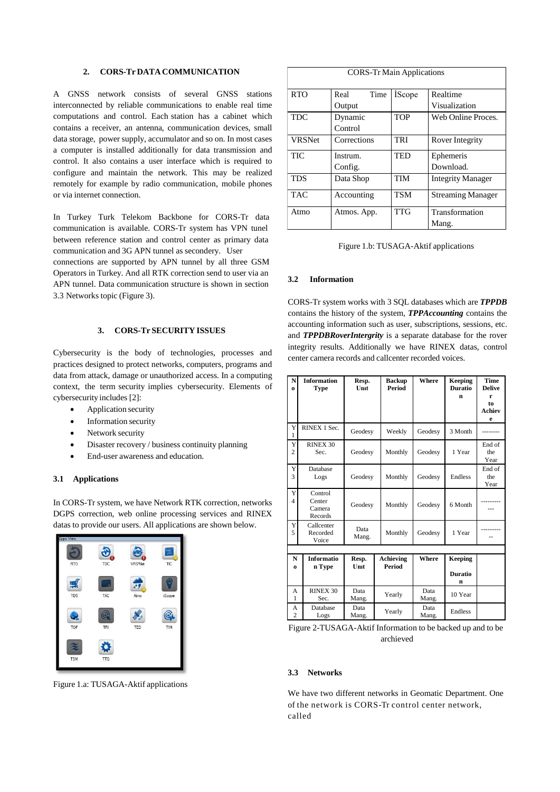## **2. CORS-Tr DATA COMMUNICATION**

A GNSS network consists of several GNSS stations interconnected by reliable communications to enable real time computations and control. Each station has a cabinet which contains a receiver, an antenna, communication devices, small data storage, power supply, accumulator and so on. In most cases a computer is installed additionally for data transmission and control. It also contains a user interface which is required to configure and maintain the network. This may be realized remotely for example by radio communication, mobile phones or via internet connection.

In Turkey Turk Telekom Backbone for CORS-Tr data communication is available. CORS-Tr system has VPN tunel between reference station and control center as primary data communication and 3G APN tunnel as secondery. User

connections are supported by APN tunnel by all three GSM Operators in Turkey. And all RTK correction send to user via an APN tunnel. Data communication structure is shown in section 3.3 Networks topic (Figure 3).

### **3. CORS-Tr SECURITY ISSUES**

Cybersecurity is the body of technologies, processes and practices designed to protect networks, computers, programs and data from attack, damage or unauthorized access. In a computing context, the term security implies cybersecurity. Elements of cybersecurity includes [2]:

- Application security
- Information security
- Network security
- Disaster recovery / business continuity planning
- End-user awareness and education.

### **3.1 Applications**

In CORS-Tr system, we have Network RTK correction, networks DGPS correction, web online processing services and RINEX datas to provide our users. All applications are shown below.



Figure 1.a: TUSAGA-Aktif applications

| <b>CORS-Tr Main Applications</b> |              |                |                          |  |  |  |  |
|----------------------------------|--------------|----------------|--------------------------|--|--|--|--|
| <b>RTO</b>                       | Time<br>Real | <b>i</b> Scope | Realtime                 |  |  |  |  |
|                                  | Output       |                | Visualization            |  |  |  |  |
| <b>TDC</b>                       | Dynamic      | <b>TOP</b>     | Web Online Proces.       |  |  |  |  |
|                                  | Control      |                |                          |  |  |  |  |
| <b>VRSNet</b>                    | Corrections  | <b>TRI</b>     | Rover Integrity          |  |  |  |  |
| TIC                              | Instrum.     | <b>TED</b>     | Ephemeris                |  |  |  |  |
|                                  | Config.      |                | Download.                |  |  |  |  |
| <b>TDS</b>                       | Data Shop    | <b>TIM</b>     | <b>Integrity Manager</b> |  |  |  |  |
| <b>TAC</b>                       | Accounting   | <b>TSM</b>     | <b>Streaming Manager</b> |  |  |  |  |
| Atmo                             | Atmos. App.  | <b>TTG</b>     | Transformation           |  |  |  |  |
|                                  |              |                | Mang.                    |  |  |  |  |

Figure 1.b: TUSAGA-Aktif applications

#### **3.2 Information**

CORS-Tr system works with 3 SQL databases which are *TPPDB* contains the history of the system, *TPPAccounting* contains the accounting information such as user, subscriptions, sessions, etc. and *TPPDBRoverIntergrity* is a separate database for the rover integrity results. Additionally we have RINEX datas, control center camera records and callcenter recorded voices.

| N<br>0                        | <b>Information</b><br><b>Type</b>      | Resp.<br>Unit | <b>Backup</b><br><b>Period</b> | Where         | Keeping<br><b>Duratio</b><br>n | <b>Time</b><br><b>Delive</b><br>r<br>to<br><b>Achiev</b><br>e |  |  |
|-------------------------------|----------------------------------------|---------------|--------------------------------|---------------|--------------------------------|---------------------------------------------------------------|--|--|
| Y<br>1                        | RINEX 1 Sec.                           | Geodesy       | Weekly                         | Geodesy       | 3 Month                        |                                                               |  |  |
| Y<br>$\overline{c}$           | RINEX 30<br>Sec.                       | Geodesy       | Monthly                        | Geodesy       | 1 Year                         | End of<br>the<br>Year                                         |  |  |
| Y<br>3                        | Database<br>Logs                       | Geodesy       | Monthly                        | Geodesy       | Endless                        | End of<br>the<br>Year                                         |  |  |
| Y<br>$\overline{\mathcal{L}}$ | Control<br>Center<br>Camera<br>Records | Geodesy       | Monthly                        | Geodesy       | 6 Month                        |                                                               |  |  |
| Y<br>5                        | Callcenter<br>Recorded<br>Voice        | Data<br>Mang. | Monthly                        | Geodesy       | 1 Year                         |                                                               |  |  |
|                               |                                        |               |                                |               |                                |                                                               |  |  |
| N<br>$\Omega$                 | Informatio<br>n Type                   | Resp.<br>Unit | Achieving<br>Period            | Where         | <b>Keeping</b>                 |                                                               |  |  |
|                               |                                        |               |                                |               | <b>Duratio</b><br>n            |                                                               |  |  |
| A<br>1                        | RINEX 30<br>Sec.                       | Data<br>Mang. | Yearly                         | Data<br>Mang. | 10 Year                        |                                                               |  |  |
| А<br>$\overline{c}$           | Database<br>Logs                       | Data<br>Mang. | Yearly                         | Data<br>Mang. | Endless                        |                                                               |  |  |

Figure 2-TUSAGA-Aktif Information to be backed up and to be archieved

#### **3.3 Networks**

We have two different networks in Geomatic Department. One of the network is CORS-Tr control center network, called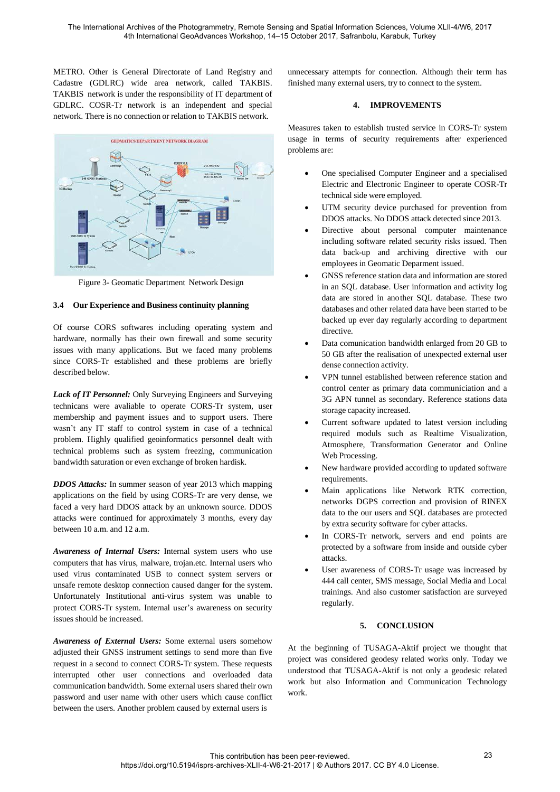METRO. Other is General Directorate of Land Registry and Cadastre (GDLRC) wide area network, called TAKBIS. TAKBIS network is under the responsibility of IT department of GDLRC. COSR-Tr network is an independent and special network. There is no connection or relation to TAKBIS network.



Figure 3- Geomatic Department Network Design

## **3.4 Our Experience and Business continuity planning**

Of course CORS softwares including operating system and hardware, normally has their own firewall and some security issues with many applications. But we faced many problems since CORS-Tr established and these problems are briefly described below.

*Lack of IT Personnel:* Only Surveying Engineers and Surveying technicans were avaliable to operate CORS-Tr system, user membership and payment issues and to support users. There wasn't any IT staff to control system in case of a technical problem. Highly qualified geoinformatics personnel dealt with technical problems such as system freezing, communication bandwidth saturation or even exchange of broken hardisk.

*DDOS Attacks:* In summer season of year 2013 which mapping applications on the field by using CORS-Tr are very dense, we faced a very hard DDOS attack by an unknown source. DDOS attacks were continued for approximately 3 months, every day between 10 a.m. and 12 a.m.

*Awareness of Internal Users:* Internal system users who use computers that has virus, malware, trojan.etc. Internal users who used virus contaminated USB to connect system servers or unsafe remote desktop connection caused danger for the system. Unfortunately Institutional anti-virus system was unable to protect CORS-Tr system. Internal user's awareness on security issues should be increased.

*Awareness of External Users:* Some external users somehow adjusted their GNSS instrument settings to send more than five request in a second to connect CORS-Tr system. These requests interrupted other user connections and overloaded data communication bandwidth. Some external users shared their own password and user name with other users which cause conflict between the users. Another problem caused by external users is

unnecessary attempts for connection. Although their term has finished many external users, try to connect to the system.

## **4. IMPROVEMENTS**

Measures taken to establish trusted service in CORS-Tr system usage in terms of security requirements after experienced problems are:

- One specialised Computer Engineer and a specialised Electric and Electronic Engineer to operate COSR-Tr technical side were employed.
- UTM security device purchased for prevention from DDOS attacks. No DDOS attack detected since 2013.
- Directive about personal computer maintenance including software related security risks issued. Then data back-up and archiving directive with our employees in Geomatic Deparment issued.
- GNSS reference station data and information are stored in an SQL database. User information and activity log data are stored in another SQL database. These two databases and other related data have been started to be backed up ever day regularly according to department directive.
- Data comunication bandwidth enlarged from 20 GB to 50 GB after the realisation of unexpected external user dense connection activity.
- VPN tunnel established between reference station and control center as primary data communiciation and a 3G APN tunnel as secondary. Reference stations data storage capacity increased.
- Current software updated to latest version including required moduls such as Realtime Visualization, Atmosphere, Transformation Generator and Online Web Processing.
- New hardware provided according to updated software requirements.
- Main applications like Network RTK correction, networks DGPS correction and provision of RINEX data to the our users and SQL databases are protected by extra security software for cyber attacks.
- In CORS-Tr network, servers and end points are protected by a software from inside and outside cyber attacks.
- User awareness of CORS-Tr usage was increased by 444 call center, SMS message, Social Media and Local trainings. And also customer satisfaction are surveyed regularly.

# **5. CONCLUSION**

At the beginning of TUSAGA-Aktif project we thought that project was considered geodesy related works only. Today we understood that TUSAGA-Aktif is not only a geodesic related work but also Information and Communication Technology work.